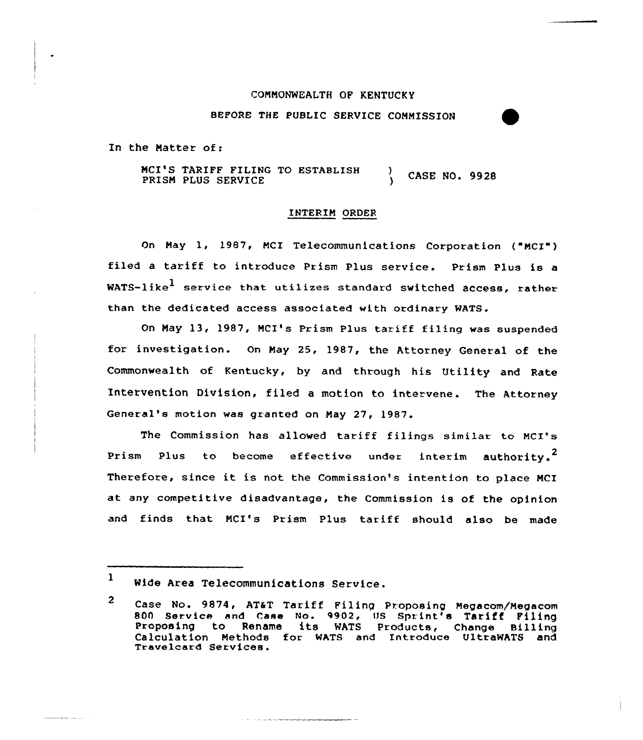## COMMONWEALTH OF KENTUCKy

BEFORE THE PUBLIC SERVICE CONMISSION

In the Natter of:

NCI'S TARIFF FILING TO ESTABLISH ) CASE NO. 9928 PRISM PLUS SERVICE

## INTERIM ORDER

On Nay 1, 1987, NCI Telecommunications Corpoxation ("NCI") filed a tariff to introduce Prism Plus service. Prism Plus is a WATS-like<sup>1</sup> service that utilizes standard switched access, rather. than the dedicated access associated with ordinary WATS.

On May 13, 1987, MCI's Prism Plus tariff filing was suspended for investigation. On Nay 25, 1987, the Attorney General of the Commonwealth of Kentucky, by and thxough his Utility and Rate Intervention Division, filed a motion to intervene. The Attorney General's motion was gxanted on May 27, 1987.

The Commission has allowed tariff filings similar to MCI's Prism Plus to become effective under interim authority.<sup>2</sup> Therefore, since it is not the Commission's intention to place NCI at any competitive disadvantage, the Commission is of the opinion and finds that NCI's Prism Plus tariff should also be made

an<br>Amerikan sebagai ke

<sup>1</sup> Wide Area Telecommunications Service.

 $\mathbf{2}$ Case No. 9874, AT&T Tariff Filing Proposing Megacom/Megacom 800 Service and Case No. 9902, US Sprint's Tariff Filing Proposing to Rename its WATS Products, Change Billing Calculation Methods for WATS and Introduce UltraWATS and<br>Travelcard=Services.